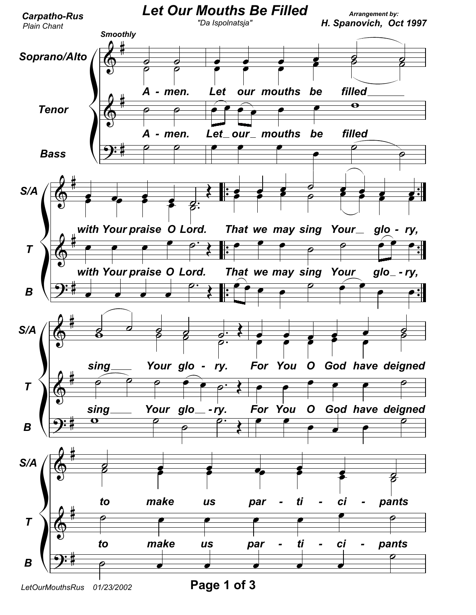

LetOurMouthsRus 01/23/2002

Page 1 of 3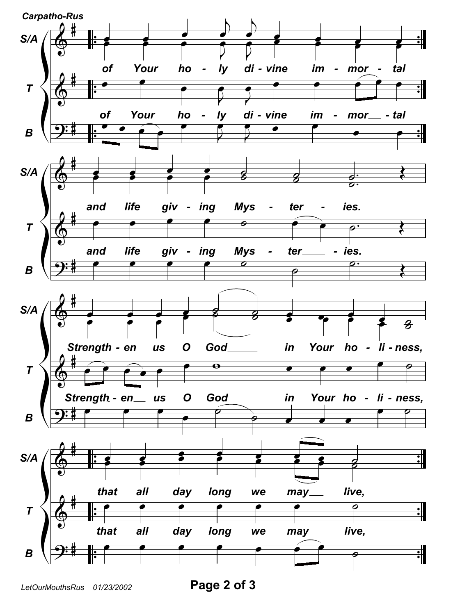

Page 2 of 3